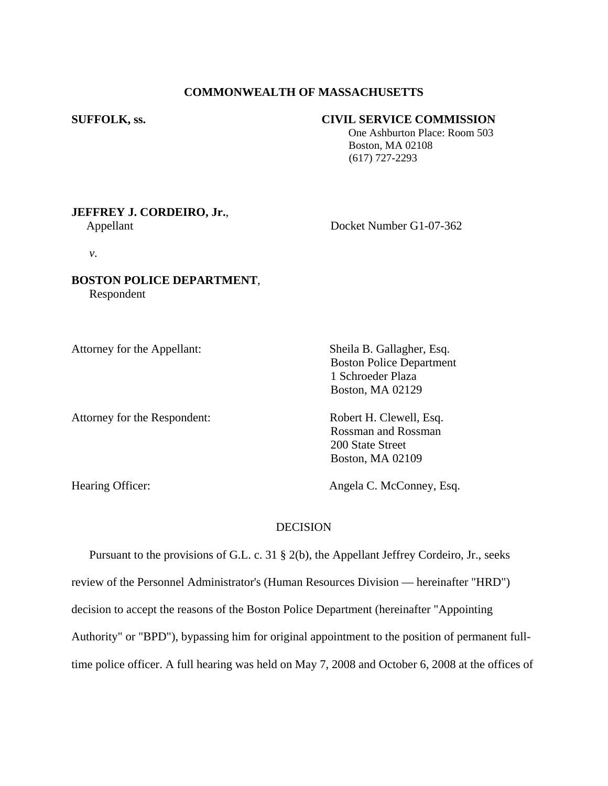## **COMMONWEALTH OF MASSACHUSETTS**

### **SUFFOLK, ss. CIVIL SERVICE COMMISSION**

 One Ashburton Place: Room 503 Boston, MA 02108 (617) 727-2293

# **JEFFREY J. CORDEIRO, Jr.**,

Appellant Docket Number G1-07-362

*v.* 

# **BOSTON POLICE DEPARTMENT**, Respondent

Attorney for the Appellant: Sheila B. Gallagher, Esq.

Attorney for the Respondent: Robert H. Clewell, Esq.

Boston Police Department 1 Schroeder Plaza Boston, MA 02129

Rossman and Rossman 200 State Street Boston, MA 02109

Hearing Officer: Angela C. McConney, Esq.

# **DECISION**

 Pursuant to the provisions of G.L. c. 31 § 2(b), the Appellant Jeffrey Cordeiro, Jr., seeks review of the Personnel Administrator's (Human Resources Division — hereinafter "HRD") decision to accept the reasons of the Boston Police Department (hereinafter "Appointing Authority" or "BPD"), bypassing him for original appointment to the position of permanent fulltime police officer. A full hearing was held on May 7, 2008 and October 6, 2008 at the offices of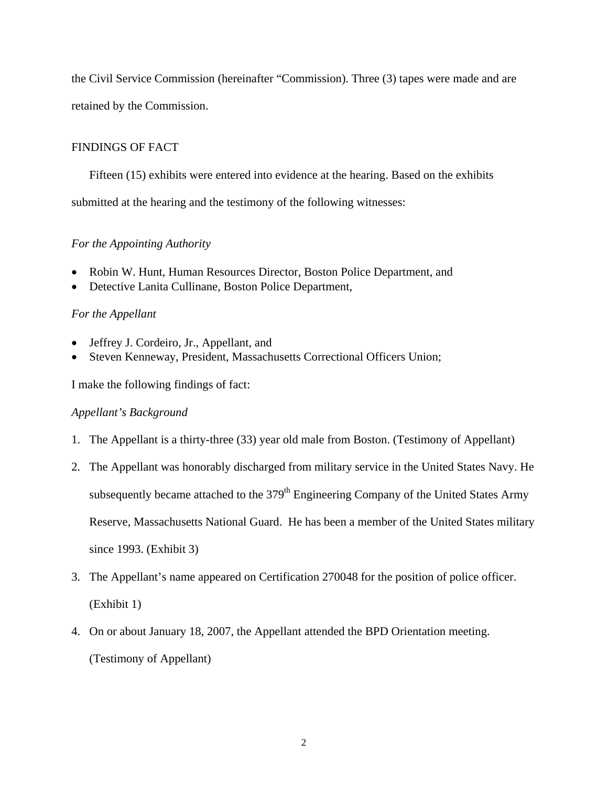the Civil Service Commission (hereinafter "Commission). Three (3) tapes were made and are retained by the Commission.

# FINDINGS OF FACT

 Fifteen (15) exhibits were entered into evidence at the hearing. Based on the exhibits submitted at the hearing and the testimony of the following witnesses:

# *For the Appointing Authority*

- Robin W. Hunt, Human Resources Director, Boston Police Department, and
- Detective Lanita Cullinane, Boston Police Department,

# *For the Appellant*

- Jeffrey J. Cordeiro, Jr., Appellant, and
- Steven Kenneway, President, Massachusetts Correctional Officers Union;

I make the following findings of fact:

# *Appellant's Background*

- 1. The Appellant is a thirty-three (33) year old male from Boston. (Testimony of Appellant)
- 2. The Appellant was honorably discharged from military service in the United States Navy. He subsequently became attached to the 379<sup>th</sup> Engineering Company of the United States Army Reserve, Massachusetts National Guard. He has been a member of the United States military since 1993. (Exhibit 3)
- 3. The Appellant's name appeared on Certification 270048 for the position of police officer. (Exhibit 1)
- 4. On or about January 18, 2007, the Appellant attended the BPD Orientation meeting. (Testimony of Appellant)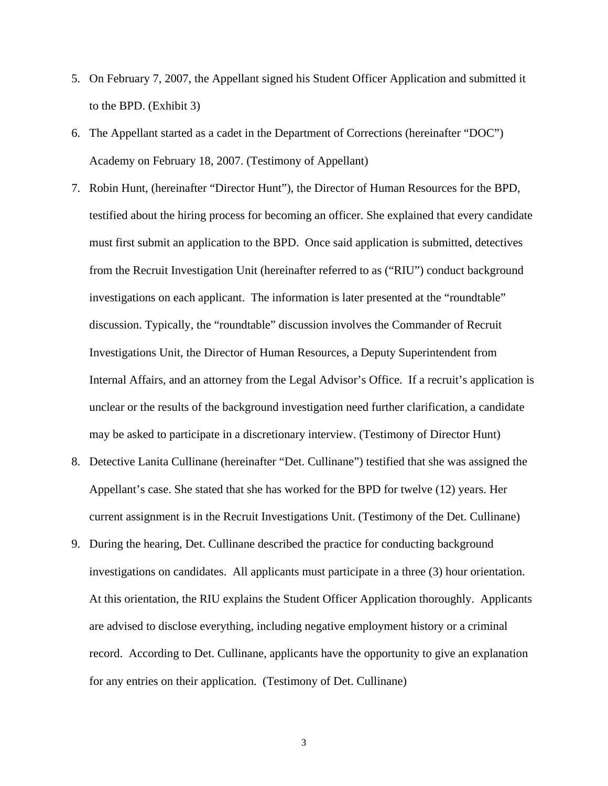- 5. On February 7, 2007, the Appellant signed his Student Officer Application and submitted it to the BPD. (Exhibit 3)
- 6. The Appellant started as a cadet in the Department of Corrections (hereinafter "DOC") Academy on February 18, 2007. (Testimony of Appellant)
- 7. Robin Hunt, (hereinafter "Director Hunt"), the Director of Human Resources for the BPD, testified about the hiring process for becoming an officer. She explained that every candidate must first submit an application to the BPD. Once said application is submitted, detectives from the Recruit Investigation Unit (hereinafter referred to as ("RIU") conduct background investigations on each applicant. The information is later presented at the "roundtable" discussion. Typically, the "roundtable" discussion involves the Commander of Recruit Investigations Unit, the Director of Human Resources, a Deputy Superintendent from Internal Affairs, and an attorney from the Legal Advisor's Office. If a recruit's application is unclear or the results of the background investigation need further clarification, a candidate may be asked to participate in a discretionary interview. (Testimony of Director Hunt)
- 8. Detective Lanita Cullinane (hereinafter "Det. Cullinane") testified that she was assigned the Appellant's case. She stated that she has worked for the BPD for twelve (12) years. Her current assignment is in the Recruit Investigations Unit. (Testimony of the Det. Cullinane)
- 9. During the hearing, Det. Cullinane described the practice for conducting background investigations on candidates. All applicants must participate in a three (3) hour orientation. At this orientation, the RIU explains the Student Officer Application thoroughly. Applicants are advised to disclose everything, including negative employment history or a criminal record. According to Det. Cullinane, applicants have the opportunity to give an explanation for any entries on their application. (Testimony of Det. Cullinane)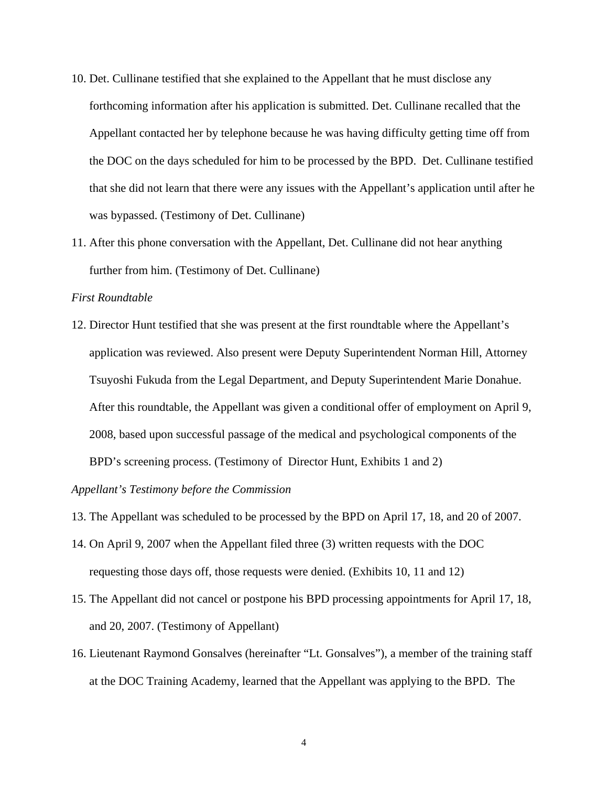- 10. Det. Cullinane testified that she explained to the Appellant that he must disclose any forthcoming information after his application is submitted. Det. Cullinane recalled that the Appellant contacted her by telephone because he was having difficulty getting time off from the DOC on the days scheduled for him to be processed by the BPD. Det. Cullinane testified that she did not learn that there were any issues with the Appellant's application until after he was bypassed. (Testimony of Det. Cullinane)
- 11. After this phone conversation with the Appellant, Det. Cullinane did not hear anything further from him. (Testimony of Det. Cullinane)

### *First Roundtable*

12. Director Hunt testified that she was present at the first roundtable where the Appellant's application was reviewed. Also present were Deputy Superintendent Norman Hill, Attorney Tsuyoshi Fukuda from the Legal Department, and Deputy Superintendent Marie Donahue. After this roundtable, the Appellant was given a conditional offer of employment on April 9, 2008, based upon successful passage of the medical and psychological components of the BPD's screening process. (Testimony of Director Hunt, Exhibits 1 and 2)

*Appellant's Testimony before the Commission* 

- 13. The Appellant was scheduled to be processed by the BPD on April 17, 18, and 20 of 2007.
- 14. On April 9, 2007 when the Appellant filed three (3) written requests with the DOC requesting those days off, those requests were denied. (Exhibits 10, 11 and 12)
- 15. The Appellant did not cancel or postpone his BPD processing appointments for April 17, 18, and 20, 2007. (Testimony of Appellant)
- 16. Lieutenant Raymond Gonsalves (hereinafter "Lt. Gonsalves"), a member of the training staff at the DOC Training Academy, learned that the Appellant was applying to the BPD. The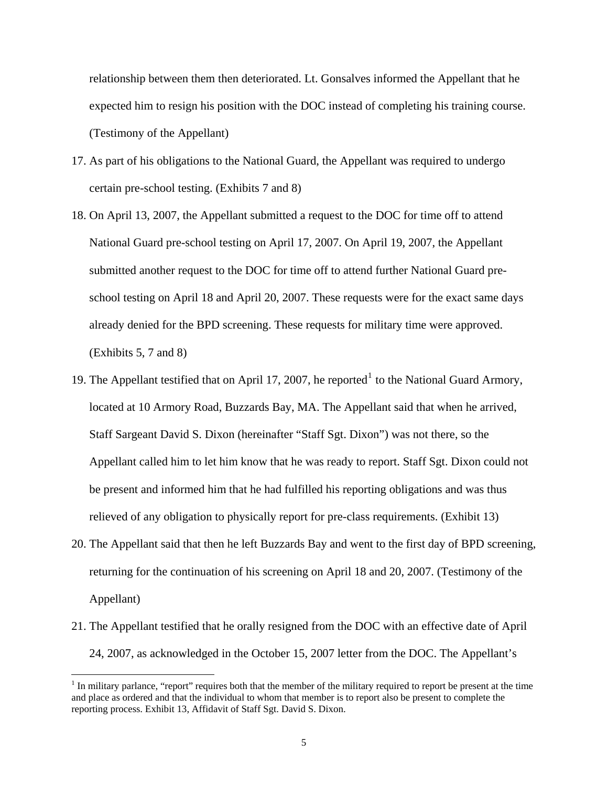relationship between them then deteriorated. Lt. Gonsalves informed the Appellant that he expected him to resign his position with the DOC instead of completing his training course. (Testimony of the Appellant)

- 17. As part of his obligations to the National Guard, the Appellant was required to undergo certain pre-school testing. (Exhibits 7 and 8)
- 18. On April 13, 2007, the Appellant submitted a request to the DOC for time off to attend National Guard pre-school testing on April 17, 2007. On April 19, 2007, the Appellant submitted another request to the DOC for time off to attend further National Guard preschool testing on April 18 and April 20, 2007. These requests were for the exact same days already denied for the BPD screening. These requests for military time were approved. (Exhibits 5, 7 and 8)
- [1](#page-4-0)9. The Appellant testified that on April 17, 2007, he reported<sup>1</sup> to the National Guard Armory, located at 10 Armory Road, Buzzards Bay, MA. The Appellant said that when he arrived, Staff Sargeant David S. Dixon (hereinafter "Staff Sgt. Dixon") was not there, so the Appellant called him to let him know that he was ready to report. Staff Sgt. Dixon could not be present and informed him that he had fulfilled his reporting obligations and was thus relieved of any obligation to physically report for pre-class requirements. (Exhibit 13)
- 20. The Appellant said that then he left Buzzards Bay and went to the first day of BPD screening, returning for the continuation of his screening on April 18 and 20, 2007. (Testimony of the Appellant)
- 21. The Appellant testified that he orally resigned from the DOC with an effective date of April 24, 2007, as acknowledged in the October 15, 2007 letter from the DOC. The Appellant's

<span id="page-4-0"></span> $1$  In military parlance, "report" requires both that the member of the military required to report be present at the time and place as ordered and that the individual to whom that member is to report also be present to complete the reporting process. Exhibit 13, Affidavit of Staff Sgt. David S. Dixon.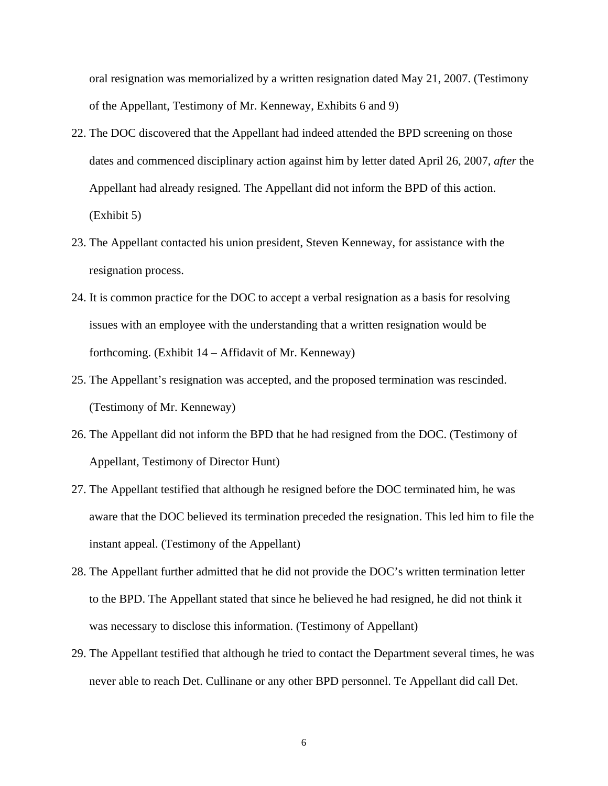oral resignation was memorialized by a written resignation dated May 21, 2007. (Testimony of the Appellant, Testimony of Mr. Kenneway, Exhibits 6 and 9)

- 22. The DOC discovered that the Appellant had indeed attended the BPD screening on those dates and commenced disciplinary action against him by letter dated April 26, 2007, *after* the Appellant had already resigned. The Appellant did not inform the BPD of this action. (Exhibit 5)
- 23. The Appellant contacted his union president, Steven Kenneway, for assistance with the resignation process.
- 24. It is common practice for the DOC to accept a verbal resignation as a basis for resolving issues with an employee with the understanding that a written resignation would be forthcoming. (Exhibit 14 – Affidavit of Mr. Kenneway)
- 25. The Appellant's resignation was accepted, and the proposed termination was rescinded. (Testimony of Mr. Kenneway)
- 26. The Appellant did not inform the BPD that he had resigned from the DOC. (Testimony of Appellant, Testimony of Director Hunt)
- 27. The Appellant testified that although he resigned before the DOC terminated him, he was aware that the DOC believed its termination preceded the resignation. This led him to file the instant appeal. (Testimony of the Appellant)
- 28. The Appellant further admitted that he did not provide the DOC's written termination letter to the BPD. The Appellant stated that since he believed he had resigned, he did not think it was necessary to disclose this information. (Testimony of Appellant)
- 29. The Appellant testified that although he tried to contact the Department several times, he was never able to reach Det. Cullinane or any other BPD personnel. Te Appellant did call Det.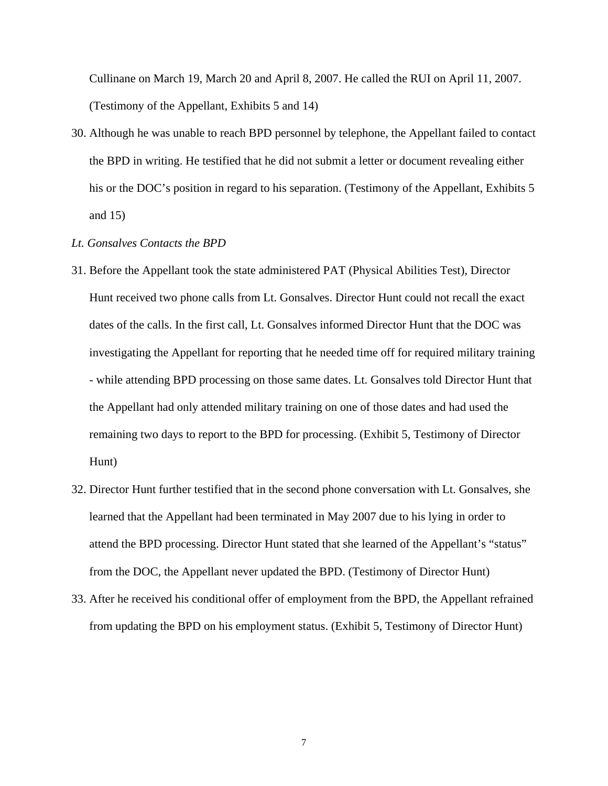Cullinane on March 19, March 20 and April 8, 2007. He called the RUI on April 11, 2007. (Testimony of the Appellant, Exhibits 5 and 14)

30. Although he was unable to reach BPD personnel by telephone, the Appellant failed to contact the BPD in writing. He testified that he did not submit a letter or document revealing either his or the DOC's position in regard to his separation. (Testimony of the Appellant, Exhibits 5 and 15)

#### *Lt. Gonsalves Contacts the BPD*

- 31. Before the Appellant took the state administered PAT (Physical Abilities Test), Director Hunt received two phone calls from Lt. Gonsalves. Director Hunt could not recall the exact dates of the calls. In the first call, Lt. Gonsalves informed Director Hunt that the DOC was investigating the Appellant for reporting that he needed time off for required military training - while attending BPD processing on those same dates. Lt. Gonsalves told Director Hunt that the Appellant had only attended military training on one of those dates and had used the remaining two days to report to the BPD for processing. (Exhibit 5, Testimony of Director Hunt)
- 32. Director Hunt further testified that in the second phone conversation with Lt. Gonsalves, she learned that the Appellant had been terminated in May 2007 due to his lying in order to attend the BPD processing. Director Hunt stated that she learned of the Appellant's "status" from the DOC, the Appellant never updated the BPD. (Testimony of Director Hunt)
- 33. After he received his conditional offer of employment from the BPD, the Appellant refrained from updating the BPD on his employment status. (Exhibit 5, Testimony of Director Hunt)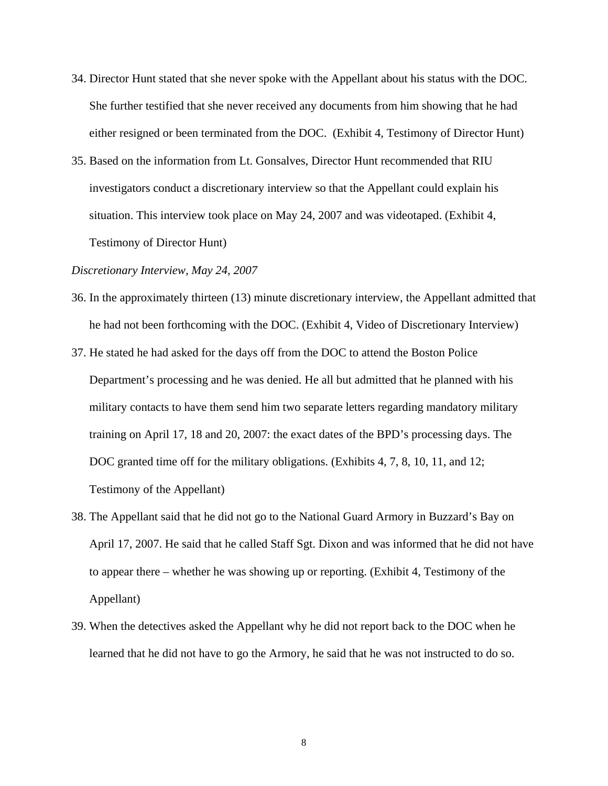- 34. Director Hunt stated that she never spoke with the Appellant about his status with the DOC. She further testified that she never received any documents from him showing that he had either resigned or been terminated from the DOC. (Exhibit 4, Testimony of Director Hunt)
- 35. Based on the information from Lt. Gonsalves, Director Hunt recommended that RIU investigators conduct a discretionary interview so that the Appellant could explain his situation. This interview took place on May 24, 2007 and was videotaped. (Exhibit 4, Testimony of Director Hunt)

#### *Discretionary Interview, May 24, 2007*

- 36. In the approximately thirteen (13) minute discretionary interview, the Appellant admitted that he had not been forthcoming with the DOC. (Exhibit 4, Video of Discretionary Interview)
- 37. He stated he had asked for the days off from the DOC to attend the Boston Police Department's processing and he was denied. He all but admitted that he planned with his military contacts to have them send him two separate letters regarding mandatory military training on April 17, 18 and 20, 2007: the exact dates of the BPD's processing days. The DOC granted time off for the military obligations. (Exhibits 4, 7, 8, 10, 11, and 12; Testimony of the Appellant)
- 38. The Appellant said that he did not go to the National Guard Armory in Buzzard's Bay on April 17, 2007. He said that he called Staff Sgt. Dixon and was informed that he did not have to appear there – whether he was showing up or reporting. (Exhibit 4, Testimony of the Appellant)
- 39. When the detectives asked the Appellant why he did not report back to the DOC when he learned that he did not have to go the Armory, he said that he was not instructed to do so.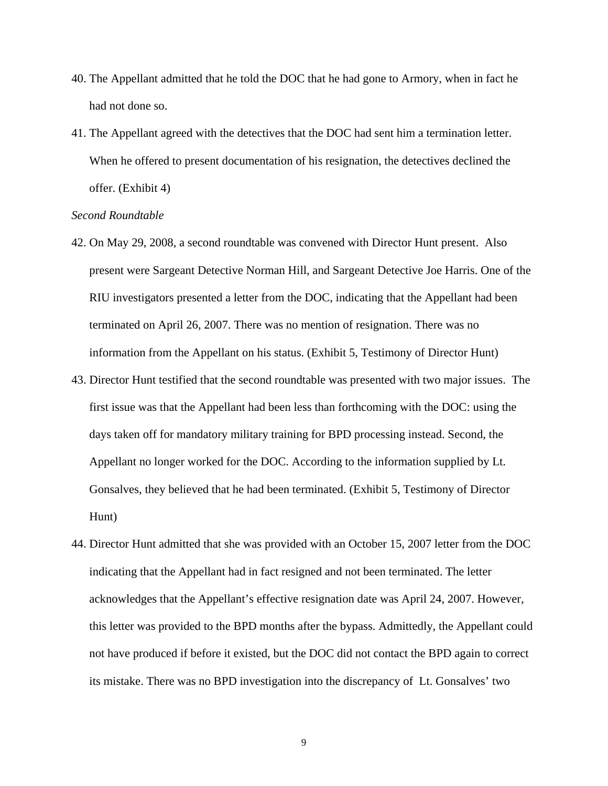- 40. The Appellant admitted that he told the DOC that he had gone to Armory, when in fact he had not done so.
- 41. The Appellant agreed with the detectives that the DOC had sent him a termination letter. When he offered to present documentation of his resignation, the detectives declined the offer. (Exhibit 4)

#### *Second Roundtable*

- 42. On May 29, 2008, a second roundtable was convened with Director Hunt present. Also present were Sargeant Detective Norman Hill, and Sargeant Detective Joe Harris. One of the RIU investigators presented a letter from the DOC, indicating that the Appellant had been terminated on April 26, 2007. There was no mention of resignation. There was no information from the Appellant on his status. (Exhibit 5, Testimony of Director Hunt)
- 43. Director Hunt testified that the second roundtable was presented with two major issues. The first issue was that the Appellant had been less than forthcoming with the DOC: using the days taken off for mandatory military training for BPD processing instead. Second, the Appellant no longer worked for the DOC. According to the information supplied by Lt. Gonsalves, they believed that he had been terminated. (Exhibit 5, Testimony of Director Hunt)
- 44. Director Hunt admitted that she was provided with an October 15, 2007 letter from the DOC indicating that the Appellant had in fact resigned and not been terminated. The letter acknowledges that the Appellant's effective resignation date was April 24, 2007. However, this letter was provided to the BPD months after the bypass. Admittedly, the Appellant could not have produced if before it existed, but the DOC did not contact the BPD again to correct its mistake. There was no BPD investigation into the discrepancy of Lt. Gonsalves' two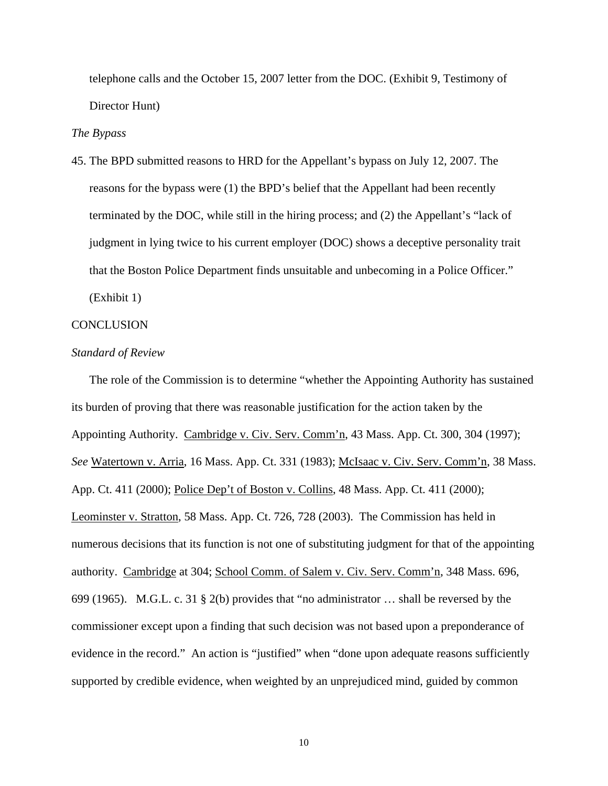telephone calls and the October 15, 2007 letter from the DOC. (Exhibit 9, Testimony of Director Hunt)

#### *The Bypass*

45. The BPD submitted reasons to HRD for the Appellant's bypass on July 12, 2007. The reasons for the bypass were (1) the BPD's belief that the Appellant had been recently terminated by the DOC, while still in the hiring process; and (2) the Appellant's "lack of judgment in lying twice to his current employer (DOC) shows a deceptive personality trait that the Boston Police Department finds unsuitable and unbecoming in a Police Officer." (Exhibit 1)

#### **CONCLUSION**

#### *Standard of Review*

The role of the Commission is to determine "whether the Appointing Authority has sustained its burden of proving that there was reasonable justification for the action taken by the Appointing Authority. Cambridge v. Civ. Serv. Comm'n, 43 Mass. App. Ct. 300, 304 (1997); *See* Watertown v. Arria, 16 Mass. App. Ct. 331 (1983); McIsaac v. Civ. Serv. Comm'n, 38 Mass. App. Ct. 411 (2000); Police Dep't of Boston v. Collins, 48 Mass. App. Ct. 411 (2000); Leominster v. Stratton, 58 Mass. App. Ct. 726, 728 (2003). The Commission has held in numerous decisions that its function is not one of substituting judgment for that of the appointing authority. Cambridge at 304; School Comm. of Salem v. Civ. Serv. Comm'n, 348 Mass. 696, 699 (1965). M.G.L. c. 31 § 2(b) provides that "no administrator … shall be reversed by the commissioner except upon a finding that such decision was not based upon a preponderance of evidence in the record." An action is "justified" when "done upon adequate reasons sufficiently supported by credible evidence, when weighted by an unprejudiced mind, guided by common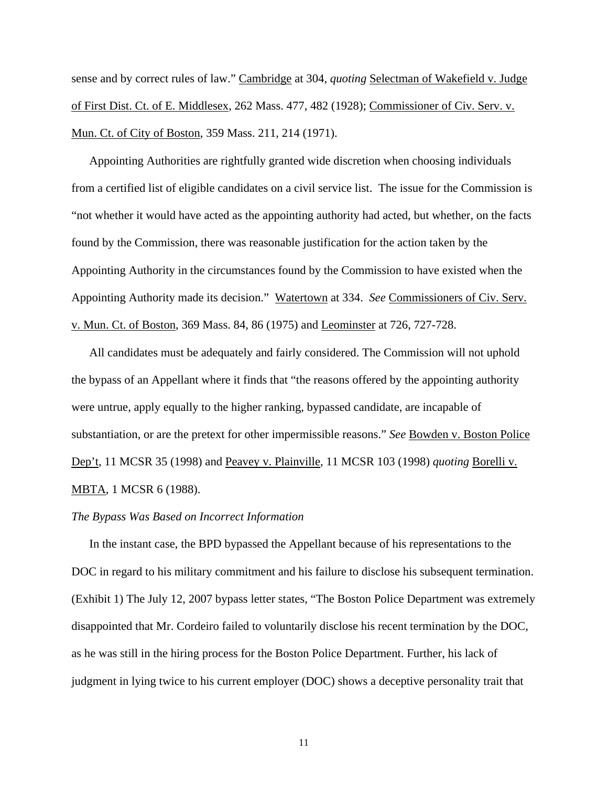sense and by correct rules of law." Cambridge at 304, *quoting* Selectman of Wakefield v. Judge of First Dist. Ct. of E. Middlesex, 262 Mass. 477, 482 (1928); Commissioner of Civ. Serv. v. Mun. Ct. of City of Boston, 359 Mass. 211, 214 (1971).

Appointing Authorities are rightfully granted wide discretion when choosing individuals from a certified list of eligible candidates on a civil service list. The issue for the Commission is "not whether it would have acted as the appointing authority had acted, but whether, on the facts found by the Commission, there was reasonable justification for the action taken by the Appointing Authority in the circumstances found by the Commission to have existed when the Appointing Authority made its decision." Watertown at 334. *See* Commissioners of Civ. Serv. v. Mun. Ct. of Boston, 369 Mass. 84, 86 (1975) and Leominster at 726, 727-728.

All candidates must be adequately and fairly considered. The Commission will not uphold the bypass of an Appellant where it finds that "the reasons offered by the appointing authority were untrue, apply equally to the higher ranking, bypassed candidate, are incapable of substantiation, or are the pretext for other impermissible reasons." *See* Bowden v. Boston Police Dep't, 11 MCSR 35 (1998) and Peavey v. Plainville, 11 MCSR 103 (1998) *quoting* Borelli v. MBTA, 1 MCSR 6 (1988).

#### *The Bypass Was Based on Incorrect Information*

 In the instant case, the BPD bypassed the Appellant because of his representations to the DOC in regard to his military commitment and his failure to disclose his subsequent termination. (Exhibit 1) The July 12, 2007 bypass letter states, "The Boston Police Department was extremely disappointed that Mr. Cordeiro failed to voluntarily disclose his recent termination by the DOC, as he was still in the hiring process for the Boston Police Department. Further, his lack of judgment in lying twice to his current employer (DOC) shows a deceptive personality trait that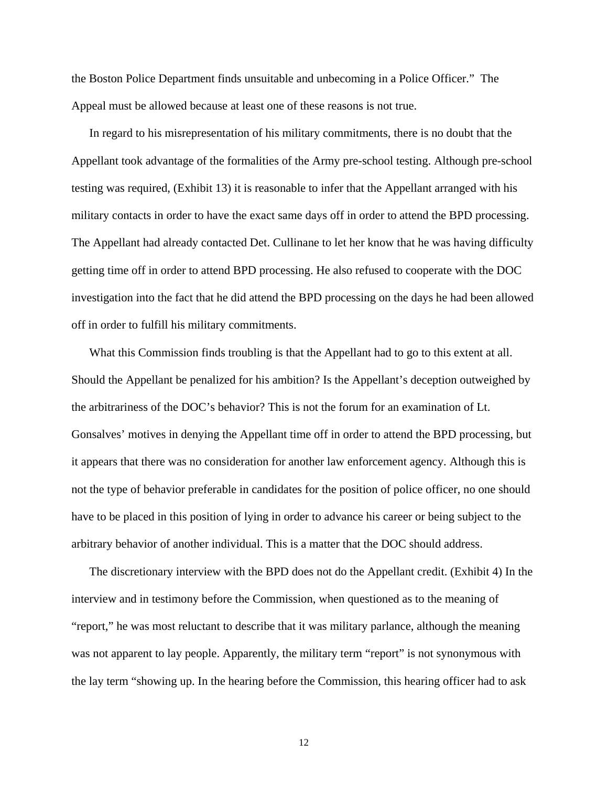the Boston Police Department finds unsuitable and unbecoming in a Police Officer." The Appeal must be allowed because at least one of these reasons is not true.

In regard to his misrepresentation of his military commitments, there is no doubt that the Appellant took advantage of the formalities of the Army pre-school testing. Although pre-school testing was required, (Exhibit 13) it is reasonable to infer that the Appellant arranged with his military contacts in order to have the exact same days off in order to attend the BPD processing. The Appellant had already contacted Det. Cullinane to let her know that he was having difficulty getting time off in order to attend BPD processing. He also refused to cooperate with the DOC investigation into the fact that he did attend the BPD processing on the days he had been allowed off in order to fulfill his military commitments.

What this Commission finds troubling is that the Appellant had to go to this extent at all. Should the Appellant be penalized for his ambition? Is the Appellant's deception outweighed by the arbitrariness of the DOC's behavior? This is not the forum for an examination of Lt. Gonsalves' motives in denying the Appellant time off in order to attend the BPD processing, but it appears that there was no consideration for another law enforcement agency. Although this is not the type of behavior preferable in candidates for the position of police officer, no one should have to be placed in this position of lying in order to advance his career or being subject to the arbitrary behavior of another individual. This is a matter that the DOC should address.

The discretionary interview with the BPD does not do the Appellant credit. (Exhibit 4) In the interview and in testimony before the Commission, when questioned as to the meaning of "report," he was most reluctant to describe that it was military parlance, although the meaning was not apparent to lay people. Apparently, the military term "report" is not synonymous with the lay term "showing up. In the hearing before the Commission, this hearing officer had to ask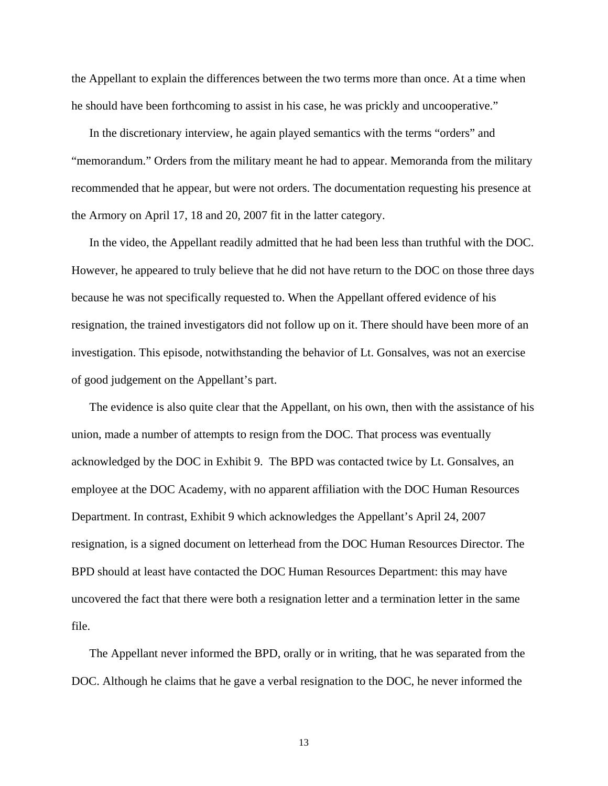the Appellant to explain the differences between the two terms more than once. At a time when he should have been forthcoming to assist in his case, he was prickly and uncooperative."

In the discretionary interview, he again played semantics with the terms "orders" and "memorandum." Orders from the military meant he had to appear. Memoranda from the military recommended that he appear, but were not orders. The documentation requesting his presence at the Armory on April 17, 18 and 20, 2007 fit in the latter category.

In the video, the Appellant readily admitted that he had been less than truthful with the DOC. However, he appeared to truly believe that he did not have return to the DOC on those three days because he was not specifically requested to. When the Appellant offered evidence of his resignation, the trained investigators did not follow up on it. There should have been more of an investigation. This episode, notwithstanding the behavior of Lt. Gonsalves, was not an exercise of good judgement on the Appellant's part.

The evidence is also quite clear that the Appellant, on his own, then with the assistance of his union, made a number of attempts to resign from the DOC. That process was eventually acknowledged by the DOC in Exhibit 9. The BPD was contacted twice by Lt. Gonsalves, an employee at the DOC Academy, with no apparent affiliation with the DOC Human Resources Department. In contrast, Exhibit 9 which acknowledges the Appellant's April 24, 2007 resignation, is a signed document on letterhead from the DOC Human Resources Director. The BPD should at least have contacted the DOC Human Resources Department: this may have uncovered the fact that there were both a resignation letter and a termination letter in the same file.

 The Appellant never informed the BPD, orally or in writing, that he was separated from the DOC. Although he claims that he gave a verbal resignation to the DOC, he never informed the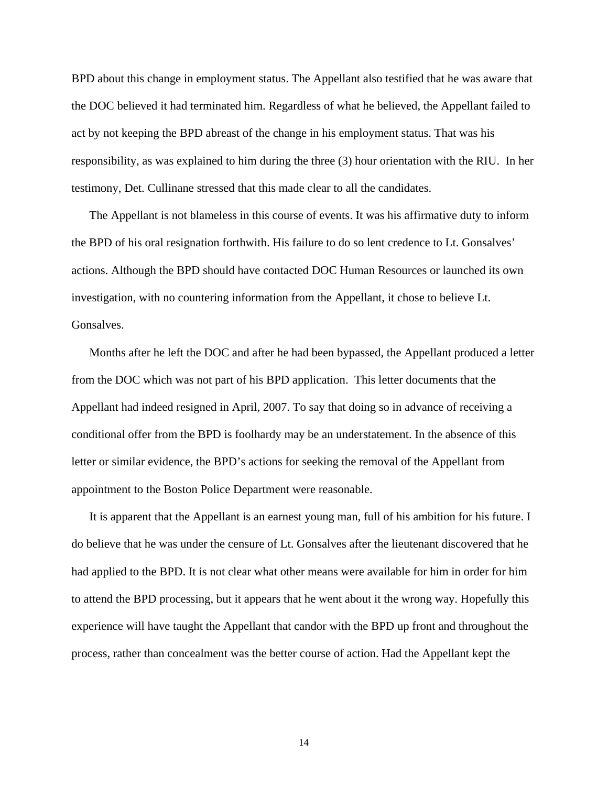BPD about this change in employment status. The Appellant also testified that he was aware that the DOC believed it had terminated him. Regardless of what he believed, the Appellant failed to act by not keeping the BPD abreast of the change in his employment status. That was his responsibility, as was explained to him during the three (3) hour orientation with the RIU. In her testimony, Det. Cullinane stressed that this made clear to all the candidates.

The Appellant is not blameless in this course of events. It was his affirmative duty to inform the BPD of his oral resignation forthwith. His failure to do so lent credence to Lt. Gonsalves' actions. Although the BPD should have contacted DOC Human Resources or launched its own investigation, with no countering information from the Appellant, it chose to believe Lt. Gonsalves.

 Months after he left the DOC and after he had been bypassed, the Appellant produced a letter from the DOC which was not part of his BPD application. This letter documents that the Appellant had indeed resigned in April, 2007. To say that doing so in advance of receiving a conditional offer from the BPD is foolhardy may be an understatement. In the absence of this letter or similar evidence, the BPD's actions for seeking the removal of the Appellant from appointment to the Boston Police Department were reasonable.

 It is apparent that the Appellant is an earnest young man, full of his ambition for his future. I do believe that he was under the censure of Lt. Gonsalves after the lieutenant discovered that he had applied to the BPD. It is not clear what other means were available for him in order for him to attend the BPD processing, but it appears that he went about it the wrong way. Hopefully this experience will have taught the Appellant that candor with the BPD up front and throughout the process, rather than concealment was the better course of action. Had the Appellant kept the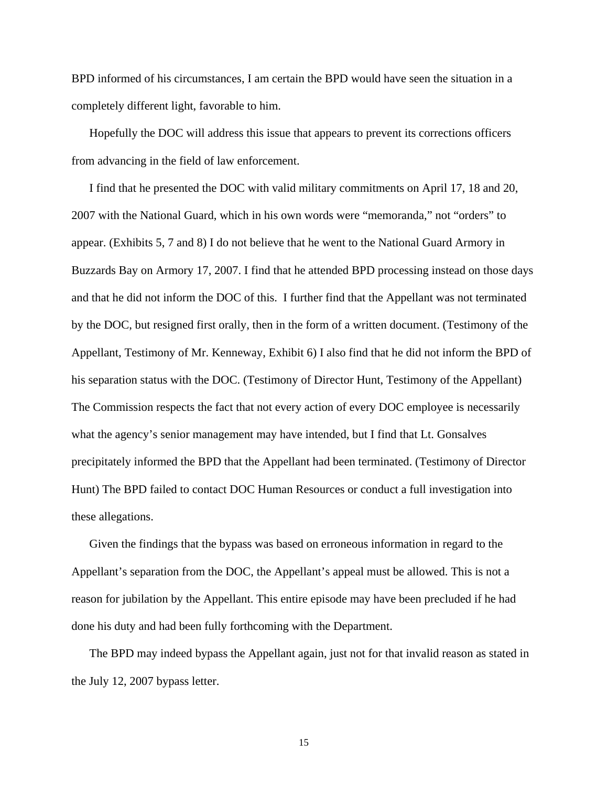BPD informed of his circumstances, I am certain the BPD would have seen the situation in a completely different light, favorable to him.

 Hopefully the DOC will address this issue that appears to prevent its corrections officers from advancing in the field of law enforcement.

 I find that he presented the DOC with valid military commitments on April 17, 18 and 20, 2007 with the National Guard, which in his own words were "memoranda," not "orders" to appear. (Exhibits 5, 7 and 8) I do not believe that he went to the National Guard Armory in Buzzards Bay on Armory 17, 2007. I find that he attended BPD processing instead on those days and that he did not inform the DOC of this. I further find that the Appellant was not terminated by the DOC, but resigned first orally, then in the form of a written document. (Testimony of the Appellant, Testimony of Mr. Kenneway, Exhibit 6) I also find that he did not inform the BPD of his separation status with the DOC. (Testimony of Director Hunt, Testimony of the Appellant) The Commission respects the fact that not every action of every DOC employee is necessarily what the agency's senior management may have intended, but I find that Lt. Gonsalves precipitately informed the BPD that the Appellant had been terminated. (Testimony of Director Hunt) The BPD failed to contact DOC Human Resources or conduct a full investigation into these allegations.

 Given the findings that the bypass was based on erroneous information in regard to the Appellant's separation from the DOC, the Appellant's appeal must be allowed. This is not a reason for jubilation by the Appellant. This entire episode may have been precluded if he had done his duty and had been fully forthcoming with the Department.

 The BPD may indeed bypass the Appellant again, just not for that invalid reason as stated in the July 12, 2007 bypass letter.